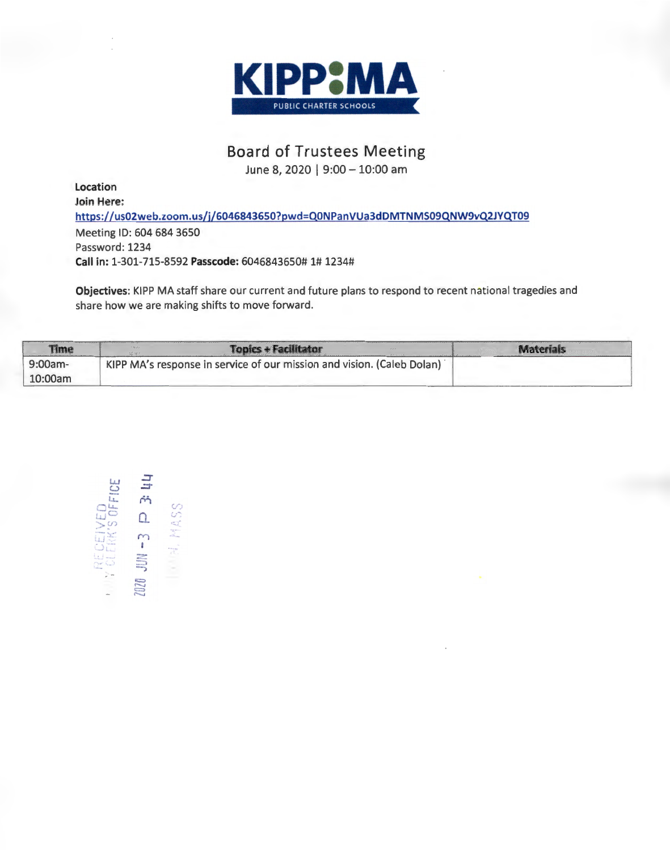

## **Boa rd of Trustees Meeting**

June 8, 2020 | 9:00 - 10:00 am

**Location Join Here: https://us02web.zoom.us/j/6046843650?pwd=QONPanVUa3dOMTNMS09QNW9vQ2JYQT09**  Meeting ID: 604 684 3650 Password: 1234 **Call in:** 1-301-715-8592 **Passcode:** 6046843650# 1# 1234#

**Objectives:** KIPP MA staff share our current and future plans to respond to recent national tragedies and share how we are making shifts to move forward.

| Time       | <b>Topics + Facilitator</b><br>$-9/22$                                 |  |
|------------|------------------------------------------------------------------------|--|
| $9:00am -$ | KIPP MA's response in service of our mission and vision. (Caleb Dolan) |  |
| 10:00am    |                                                                        |  |

 $\overline{1}$  $\overline{a}$   $\overline{b}$   $\overline{c}$ LL. **M** at.... (!") **POLICED**<br> **D**<br> **D**<br> **D**<br> **AS**  $\frac{1}{2}$ :::: 2020<br>2020 Jun